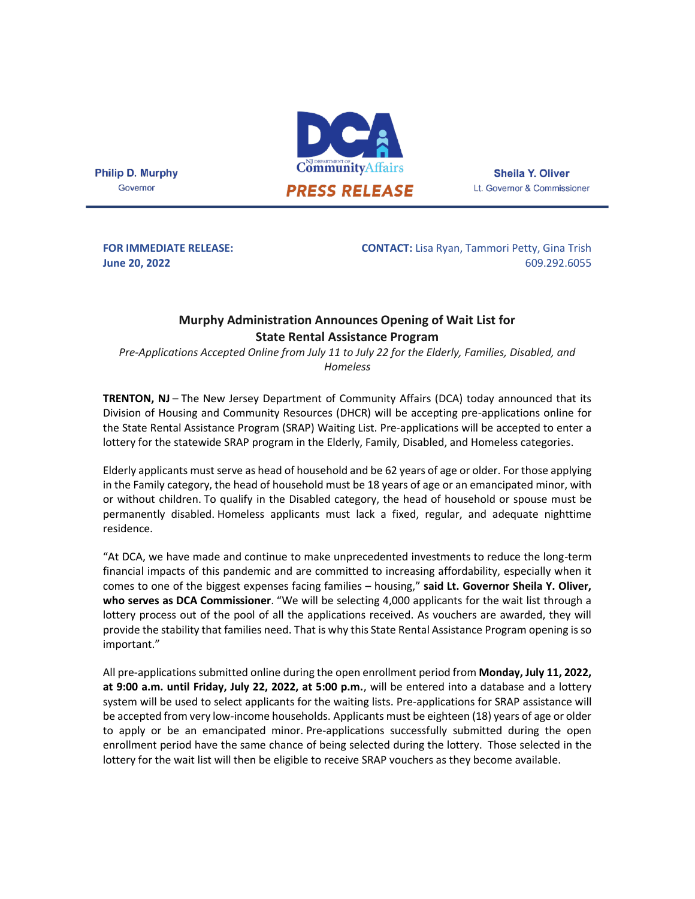

**Sheila Y. Oliver** Lt. Governor & Commissioner

**Philip D. Murphy** Governor

**FOR IMMEDIATE RELEASE: June 20, 2022**

**CONTACT:** Lisa Ryan, Tammori Petty, Gina Trish 609.292.6055

## **Murphy Administration Announces Opening of Wait List for State Rental Assistance Program**

*Pre-Applications Accepted Online from July 11 to July 22 for the Elderly, Families, Disabled, and Homeless*

**TRENTON, NJ** – The New Jersey Department of Community Affairs (DCA) today announced that its Division of Housing and Community Resources (DHCR) will be accepting pre-applications online for the State Rental Assistance Program (SRAP) Waiting List. Pre-applications will be accepted to enter a lottery for the statewide SRAP program in the Elderly, Family, Disabled, and Homeless categories.

Elderly applicants must serve as head of household and be 62 years of age or older. For those applying in the Family category, the head of household must be 18 years of age or an emancipated minor, with or without children. To qualify in the Disabled category, the head of household or spouse must be permanently disabled. Homeless applicants must lack a fixed, regular, and adequate nighttime residence.

"At DCA, we have made and continue to make unprecedented investments to reduce the long-term financial impacts of this pandemic and are committed to increasing affordability, especially when it comes to one of the biggest expenses facing families – housing," **said Lt. Governor Sheila Y. Oliver, who serves as DCA Commissioner**. "We will be selecting 4,000 applicants for the wait list through a lottery process out of the pool of all the applications received. As vouchers are awarded, they will provide the stability that families need. That is why this State Rental Assistance Program opening is so important."

All pre-applications submitted online during the open enrollment period from **Monday, July 11, 2022, at 9:00 a.m. until Friday, July 22, 2022, at 5:00 p.m.**, will be entered into a database and a lottery system will be used to select applicants for the waiting lists. Pre-applications for SRAP assistance will be accepted from very low-income households. Applicants must be eighteen (18) years of age or older to apply or be an emancipated minor. Pre-applications successfully submitted during the open enrollment period have the same chance of being selected during the lottery. Those selected in the lottery for the wait list will then be eligible to receive SRAP vouchers as they become available.